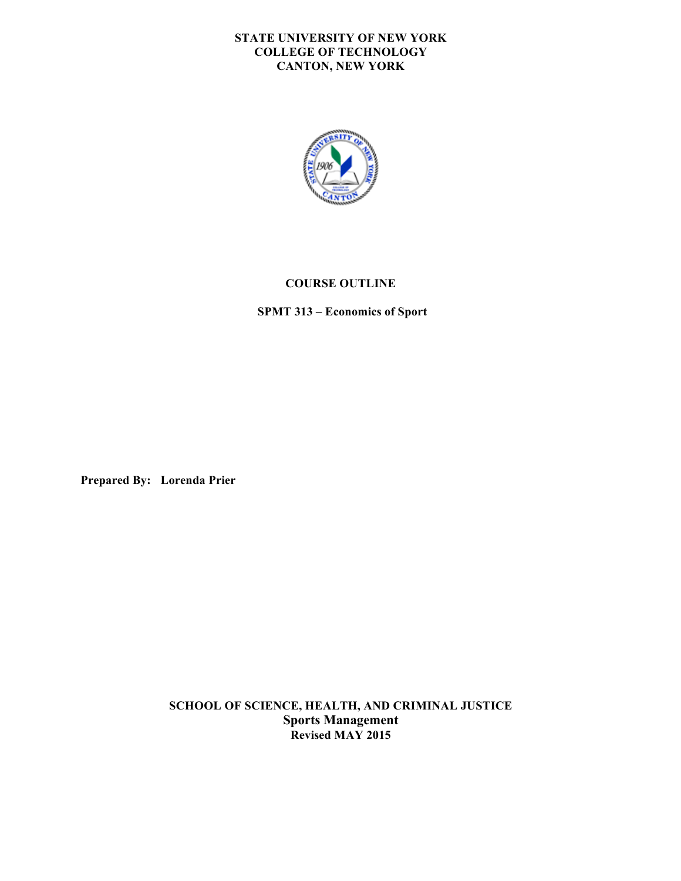### **STATE UNIVERSITY OF NEW YORK COLLEGE OF TECHNOLOGY CANTON, NEW YORK**



## **COURSE OUTLINE**

 **SPMT 313 – Economics of Sport** 

**Prepared By: Lorenda Prier** 

 **SCHOOL OF SCIENCE, HEALTH, AND CRIMINAL JUSTICE Sports Management Revised MAY 2015**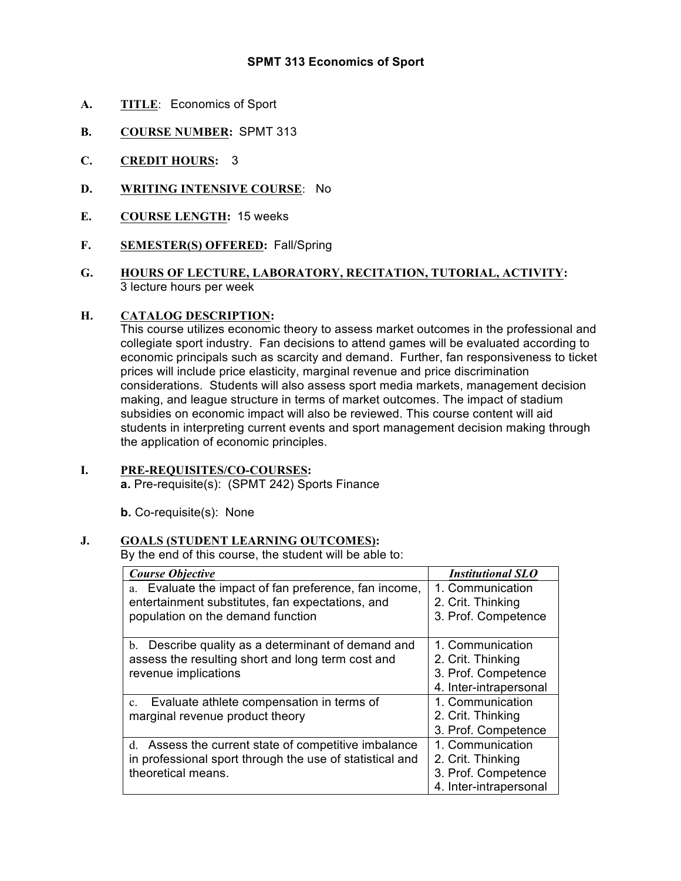# **SPMT 313 Economics of Sport**

- **A. TITLE**: Economics of Sport
- **B. COURSE NUMBER:** SPMT 313
- **C. CREDIT HOURS:** 3
- **D. WRITING INTENSIVE COURSE**: No
- **E. COURSE LENGTH:** 15 weeks
- **F. SEMESTER(S) OFFERED:** Fall/Spring
- **G. HOURS OF LECTURE, LABORATORY, RECITATION, TUTORIAL, ACTIVITY:**  3 lecture hours per week

#### **H. CATALOG DESCRIPTION:**

 This course utilizes economic theory to assess market outcomes in the professional and collegiate sport industry. Fan decisions to attend games will be evaluated according to economic principals such as scarcity and demand. Further, fan responsiveness to ticket prices will include price elasticity, marginal revenue and price discrimination considerations. Students will also assess sport media markets, management decision making, and league structure in terms of market outcomes. The impact of stadium subsidies on economic impact will also be reviewed. This course content will aid students in interpreting current events and sport management decision making through the application of economic principles.

# **I. PRE-REQUISITES/CO-COURSES:**

**a.** Pre-requisite(s): (SPMT 242) Sports Finance

**b.** Co-requisite(s): None

# **J. GOALS (STUDENT LEARNING OUTCOMES):**

By the end of this course, the student will be able to:

| <b>Course Objective</b>                                  | <b>Institutional SLO</b> |
|----------------------------------------------------------|--------------------------|
| Evaluate the impact of fan preference, fan income,<br>a. | 1. Communication         |
| entertainment substitutes, fan expectations, and         | 2. Crit. Thinking        |
| population on the demand function                        | 3. Prof. Competence      |
|                                                          |                          |
| Describe quality as a determinant of demand and<br>b.    | 1. Communication         |
| assess the resulting short and long term cost and        | 2. Crit. Thinking        |
| revenue implications                                     | 3. Prof. Competence      |
|                                                          | 4. Inter-intrapersonal   |
| Evaluate athlete compensation in terms of<br>$c_{\cdot}$ | 1. Communication         |
| marginal revenue product theory                          | 2. Crit. Thinking        |
|                                                          | 3. Prof. Competence      |
| d. Assess the current state of competitive imbalance     | 1. Communication         |
| in professional sport through the use of statistical and | 2. Crit. Thinking        |
| theoretical means.                                       | 3. Prof. Competence      |
|                                                          | 4. Inter-intrapersonal   |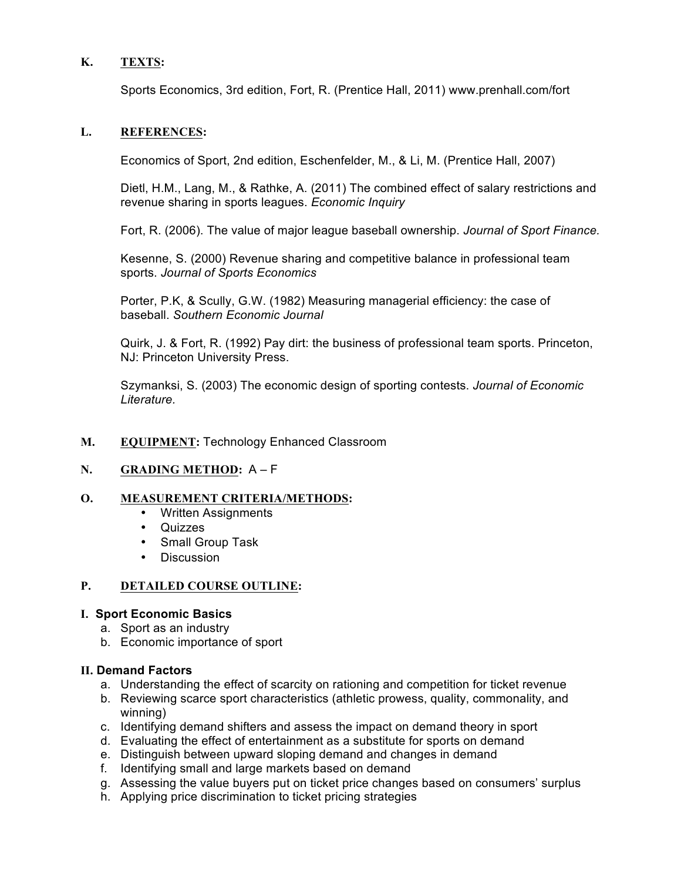# **K. TEXTS:**

Sports Economics, 3rd edition, Fort, R. (Prentice Hall, 2011) www.prenhall.com/fort

## **L. REFERENCES:**

Economics of Sport, 2nd edition, Eschenfelder, M., & Li, M. (Prentice Hall, 2007)

 Dietl, H.M., Lang, M., & Rathke, A. (2011) The combined effect of salary restrictions and revenue sharing in sports leagues. *Economic Inquiry* 

Fort, R. (2006). The value of major league baseball ownership. *Journal of Sport Finance.* 

 Kesenne, S. (2000) Revenue sharing and competitive balance in professional team  sports. *Journal of Sports Economics* 

 Porter, P.K, & Scully, G.W. (1982) Measuring managerial efficiency: the case of  baseball. *Southern Economic Journal* 

 Quirk, J. & Fort, R. (1992) Pay dirt: the business of professional team sports. Princeton, NJ: Princeton University Press.

 Szymanksi, S. (2003) The economic design of sporting contests. *Journal of Economic Literature.* 

## M. EQUIPMENT: Technology Enhanced Classroom

### **N. GRADING METHOD:** A – F

### **O. MEASUREMENT CRITERIA/METHODS:**

- • Written Assignments
- • Quizzes
- Small Group Task
- • Discussion

#### **P**. **PETAILED COURSE OUTLINE:**

### **I. Sport Economic Basics**

- a. Sport as an industry
- b. Economic importance of sport

### **II. Demand Factors**

- a. Understanding the effect of scarcity on rationing and competition for ticket revenue
- b. Reviewing scarce sport characteristics (athletic prowess, quality, commonality, and winning)
- c. Identifying demand shifters and assess the impact on demand theory in sport
- d. Evaluating the effect of entertainment as a substitute for sports on demand
- e. Distinguish between upward sloping demand and changes in demand
- f. Identifying small and large markets based on demand
- g. Assessing the value buyers put on ticket price changes based on consumers' surplus
- h. Applying price discrimination to ticket pricing strategies